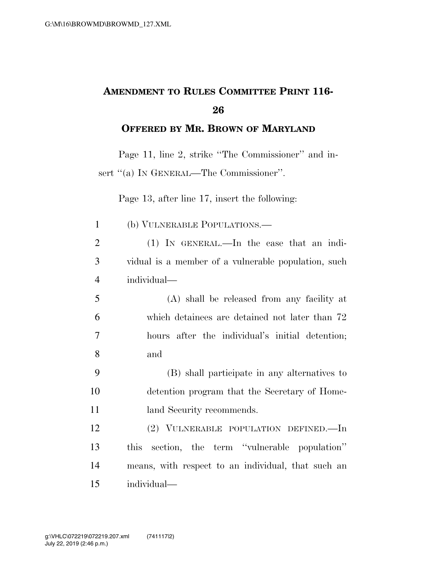## **AMENDMENT TO RULES COMMITTEE PRINT 116- 26**

**OFFERED BY MR. BROWN OF MARYLAND**

Page 11, line 2, strike ''The Commissioner'' and insert "(a) IN GENERAL—The Commissioner".

Page 13, after line 17, insert the following:

| $\mathbf{1}$   | (b) VULNERABLE POPULATIONS.—                        |
|----------------|-----------------------------------------------------|
| $\overline{2}$ | $(1)$ IN GENERAL.—In the case that an indi-         |
| 3              | vidual is a member of a vulnerable population, such |
| $\overline{4}$ | individual—                                         |
| 5              | (A) shall be released from any facility at          |
| 6              | which detainees are detained not later than 72      |
| 7              | hours after the individual's initial detention;     |
| 8              | and                                                 |
| 9              | (B) shall participate in any alternatives to        |
| 10             | detention program that the Secretary of Home-       |
| 11             | land Security recommends.                           |
| 12             | (2) VULNERABLE POPULATION DEFINED.—In               |
| 13             | section, the term "vulnerable population"<br>this   |
| 14             | means, with respect to an individual, that such an  |
| 15             | individual—                                         |